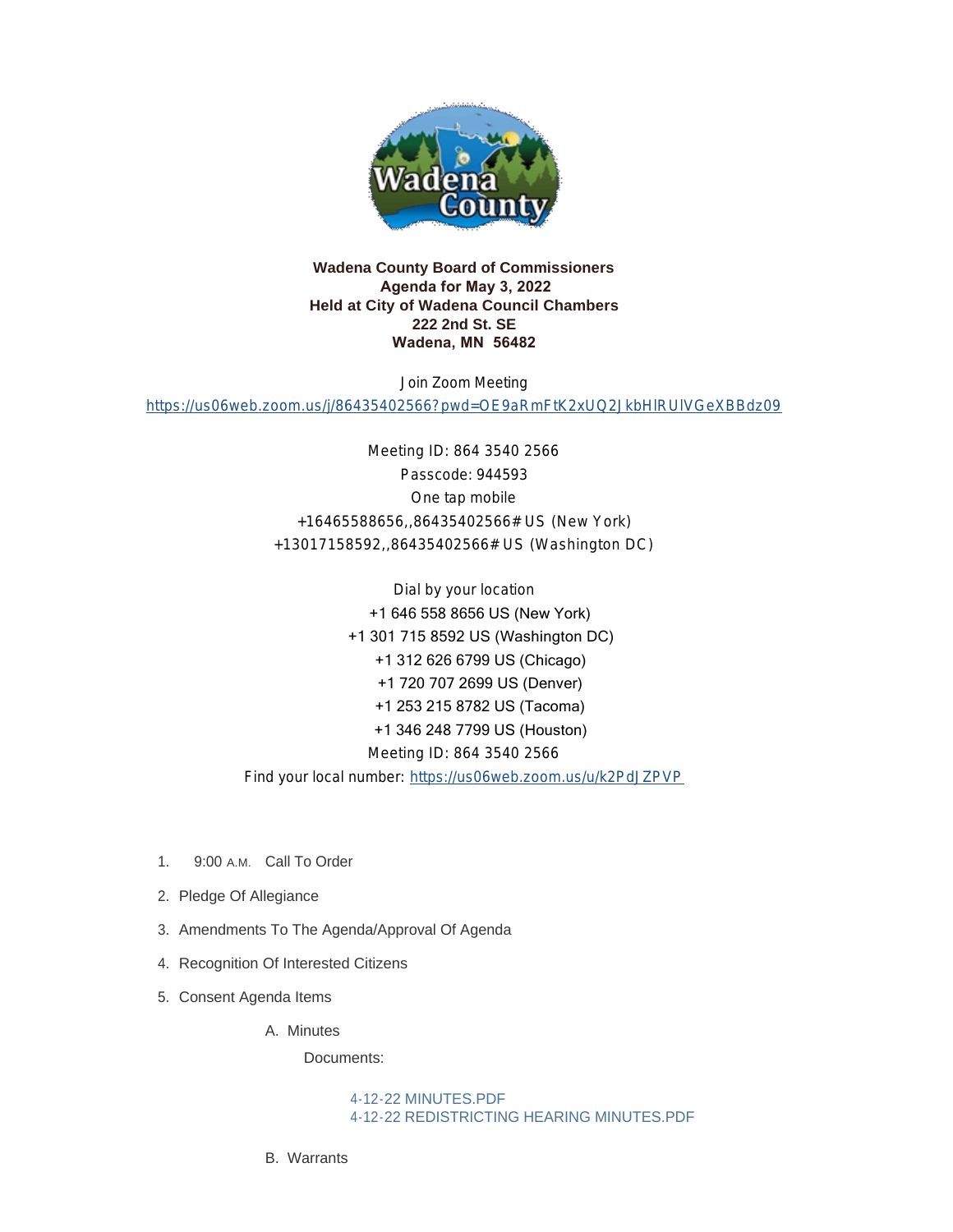

### **Wadena County Board of Commissioners Agenda for May 3, 2022 Held at City of Wadena Council Chambers 222 2nd St. SE Wadena, MN 56482**

Join Zoom Meeting

<https://us06web.zoom.us/j/86435402566?pwd=OE9aRmFtK2xUQ2JkbHlRUlVGeXBBdz09>

Meeting ID: 864 3540 2566 Passcode: 944593 One tap mobile +16465588656,,86435402566# US (New York) +13017158592,,86435402566# US (Washington DC)

Dial by your location +1 646 558 8656 US (New York) +1 301 715 8592 US (Washington DC) +1 312 626 6799 US (Chicago) +1 720 707 2699 US (Denver) +1 253 215 8782 US (Tacoma) +1 346 248 7799 US (Houston) Meeting ID: 864 3540 2566 Find your local number: <https://us06web.zoom.us/u/k2PdJZPVP>

- 1. 9:00 A.M. Call To Order
- 2. Pledge Of Allegiance
- 3. Amendments To The Agenda/Approval Of Agenda
- 4. Recognition Of Interested Citizens
- 5. Consent Agenda Items

#### A. Minutes

Documents:

[4-12-22 MINUTES.PDF](http://mn-wadenacounty.civicplus.com/AgendaCenter/ViewFile/Item/4969?fileID=7255) [4-12-22 REDISTRICTING HEARING MINUTES.PDF](http://mn-wadenacounty.civicplus.com/AgendaCenter/ViewFile/Item/4969?fileID=7256)

Warrants B.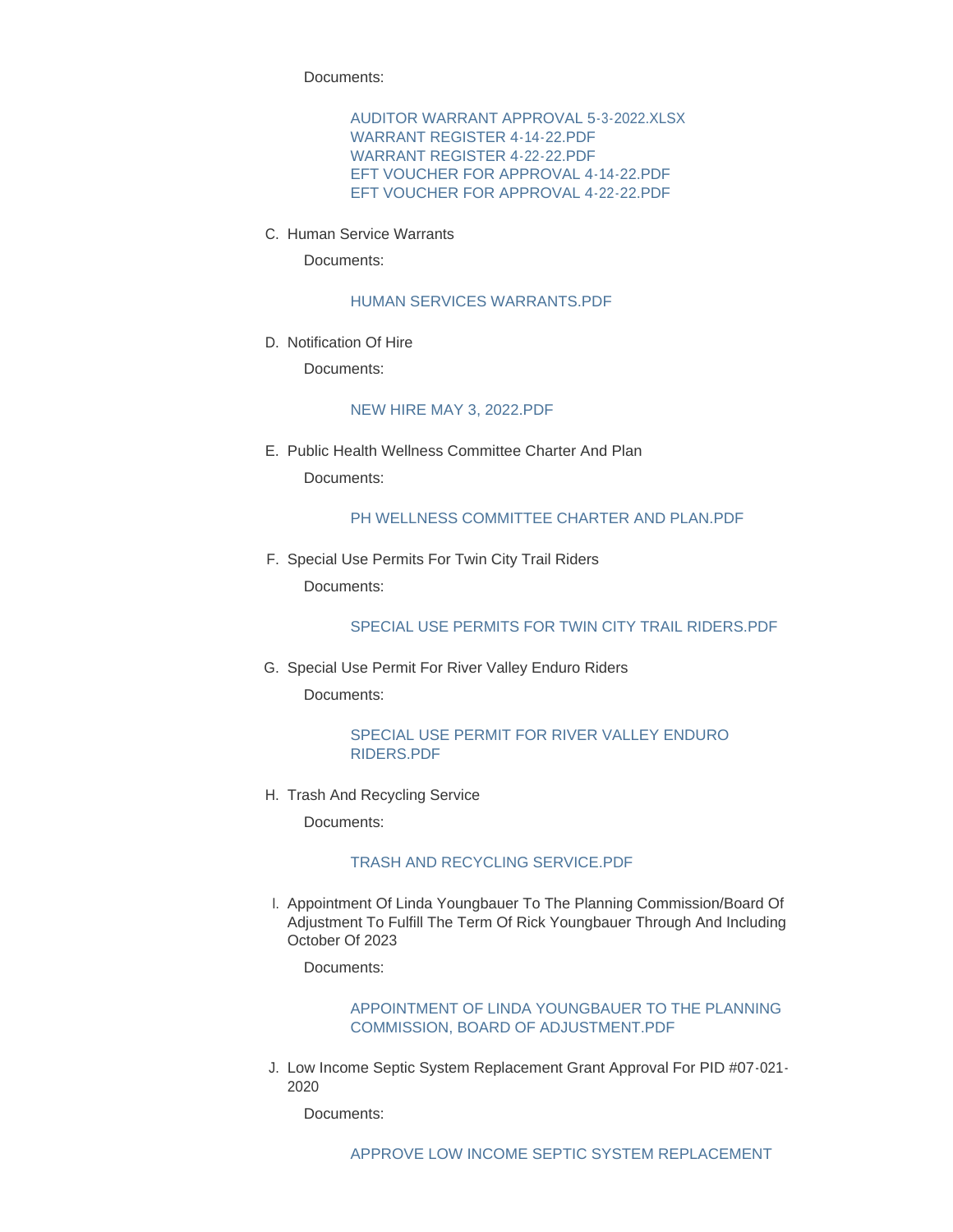Documents:

[AUDITOR WARRANT APPROVAL 5-3-2022.XLSX](http://mn-wadenacounty.civicplus.com/AgendaCenter/ViewFile/Item/4972?fileID=7257) [WARRANT REGISTER 4-14-22.PDF](http://mn-wadenacounty.civicplus.com/AgendaCenter/ViewFile/Item/4972?fileID=7258) [WARRANT REGISTER 4-22-22.PDF](http://mn-wadenacounty.civicplus.com/AgendaCenter/ViewFile/Item/4972?fileID=7259) [EFT VOUCHER FOR APPROVAL 4-14-22.PDF](http://mn-wadenacounty.civicplus.com/AgendaCenter/ViewFile/Item/4972?fileID=7260) [EFT VOUCHER FOR APPROVAL 4-22-22.PDF](http://mn-wadenacounty.civicplus.com/AgendaCenter/ViewFile/Item/4972?fileID=7261)

C. Human Service Warrants

Documents:

### [HUMAN SERVICES WARRANTS.PDF](http://mn-wadenacounty.civicplus.com/AgendaCenter/ViewFile/Item/4968?fileID=7251)

D. Notification Of Hire

Documents:

#### [NEW HIRE MAY 3, 2022.PDF](http://mn-wadenacounty.civicplus.com/AgendaCenter/ViewFile/Item/4966?fileID=7249)

E. Public Health Wellness Committee Charter And Plan Documents:

### [PH WELLNESS COMMITTEE CHARTER AND PLAN.PDF](http://mn-wadenacounty.civicplus.com/AgendaCenter/ViewFile/Item/4967?fileID=7250)

F. Special Use Permits For Twin City Trail Riders Documents:

### [SPECIAL USE PERMITS FOR TWIN CITY TRAIL RIDERS.PDF](http://mn-wadenacounty.civicplus.com/AgendaCenter/ViewFile/Item/4973?fileID=7262)

G. Special Use Permit For River Valley Enduro Riders Documents:

#### [SPECIAL USE PERMIT FOR RIVER VALLEY ENDURO](http://mn-wadenacounty.civicplus.com/AgendaCenter/ViewFile/Item/4974?fileID=7263)  RIDERS.PDF

H. Trash And Recycling Service

Documents:

### [TRASH AND RECYCLING SERVICE.PDF](http://mn-wadenacounty.civicplus.com/AgendaCenter/ViewFile/Item/4976?fileID=7265)

l. Appointment Of Linda Youngbauer To The Planning Commission/Board Of Adjustment To Fulfill The Term Of Rick Youngbauer Through And Including October Of 2023

Documents:

### [APPOINTMENT OF LINDA YOUNGBAUER TO THE PLANNING](http://mn-wadenacounty.civicplus.com/AgendaCenter/ViewFile/Item/4975?fileID=7264)  COMMISSION, BOARD OF ADJUSTMENT.PDF

J. Low Income Septic System Replacement Grant Approval For PID #07-021-2020

Documents: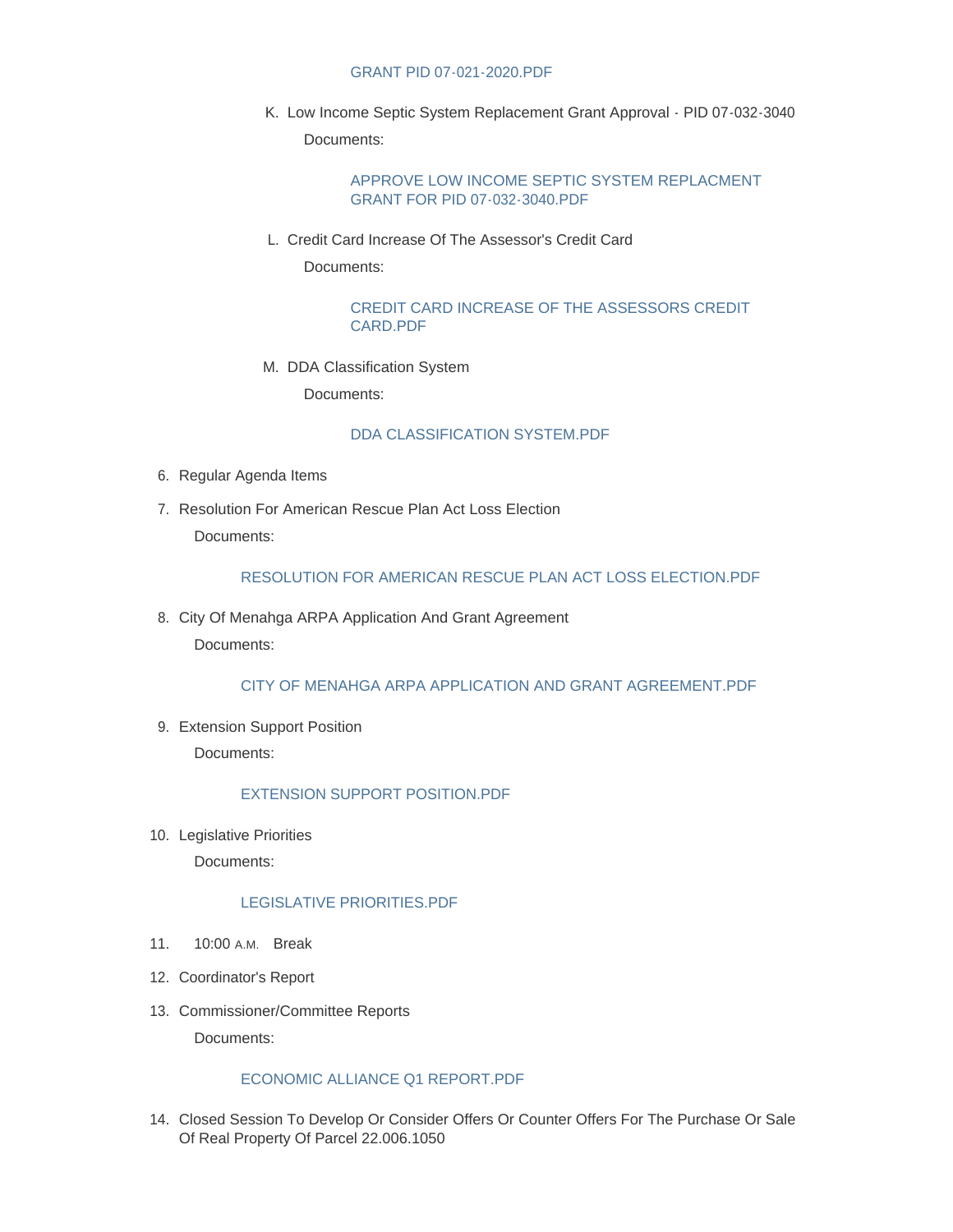### GRANT PID 07-021-2020.PDF

K. Low Income Septic System Replacement Grant Approval - PID 07-032-3040 Documents:

> [APPROVE LOW INCOME SEPTIC SYSTEM REPLACMENT](http://mn-wadenacounty.civicplus.com/AgendaCenter/ViewFile/Item/4977?fileID=7266)  GRANT FOR PID 07-032-3040.PDF

L. Credit Card Increase Of The Assessor's Credit Card

Documents:

[CREDIT CARD INCREASE OF THE ASSESSORS CREDIT](http://mn-wadenacounty.civicplus.com/AgendaCenter/ViewFile/Item/4981?fileID=7271)  CARD.PDF

M. DDA Classification System

Documents:

### [DDA CLASSIFICATION SYSTEM.PDF](http://mn-wadenacounty.civicplus.com/AgendaCenter/ViewFile/Item/4985?fileID=7274)

- 6. Regular Agenda Items
- 7. Resolution For American Rescue Plan Act Loss Election Documents:

### [RESOLUTION FOR AMERICAN RESCUE PLAN ACT LOSS ELECTION.PDF](http://mn-wadenacounty.civicplus.com/AgendaCenter/ViewFile/Item/4984?fileID=7273)

8. City Of Menahga ARPA Application And Grant Agreement Documents:

[CITY OF MENAHGA ARPA APPLICATION AND GRANT AGREEMENT.PDF](http://mn-wadenacounty.civicplus.com/AgendaCenter/ViewFile/Item/4983?fileID=7272)

9. Extension Support Position

Documents:

## [EXTENSION SUPPORT POSITION.PDF](http://mn-wadenacounty.civicplus.com/AgendaCenter/ViewFile/Item/4986?fileID=7275)

10. Legislative Priorities

Documents:

### [LEGISLATIVE PRIORITIES.PDF](http://mn-wadenacounty.civicplus.com/AgendaCenter/ViewFile/Item/4971?fileID=7270)

- 11. 10:00 A.M. Break
- 12. Coordinator's Report
- 13. Commissioner/Committee Reports

Documents:

### [ECONOMIC ALLIANCE Q1 REPORT.PDF](http://mn-wadenacounty.civicplus.com/AgendaCenter/ViewFile/Item/4857?fileID=7253)

14. Closed Session To Develop Or Consider Offers Or Counter Offers For The Purchase Or Sale Of Real Property Of Parcel 22.006.1050